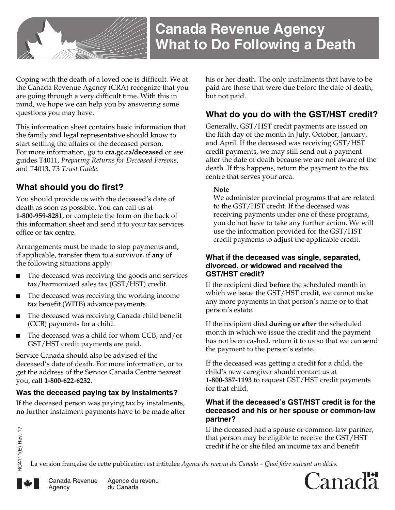

Coping with the death of a loved one is difficult. We at the Canada Revenue Agency (CRA) recognize that you are going through a very difficult time. With this in mind, we hope we can help you by answering some questions you may have.

This information sheet contains basic information that the family and legal representative should know to start settling the affairs of the deceased person. For more information, go to **cra.gc.ca/deceased** or see guides T4011, *Preparing Returns for Deceased Persons*, and T4013, *T3 Trust Guide*.

# **What should you do first?**

You should provide us with the deceased's date of death as soon as possible. You can call us at **1-800-959-8281**, or complete the form on the back of this information sheet and send it to your tax services office or tax centre.

Arrangements must be made to stop payments and, if applicable, transfer them to a survivor, if **any** of the following situations apply:

- The deceased was receiving the goods and services tax/harmonized sales tax (GST/HST) credit.
- The deceased was receiving the working income tax benefit (WITB) advance payments.
- The deceased was receiving Canada child benefit (CCB) payments for a child.
- The deceased was a child for whom CCB, and/or GST/HST credit payments are paid.

Service Canada should also be advised of the deceased's date of death. For more information, or to get the address of the Service Canada Centre nearest you, call **1-800-622-6232**.

## **Was the deceased paying tax by instalments?**

If the deceased person was paying tax by instalments, **no** further instalment payments have to be made after his or her death. The only instalments that have to be paid are those that were due before the date of death, but not paid.

# **What do you do with the GST/HST credit?**

Generally, GST/HST credit payments are issued on the fifth day of the month in July, October, January, and April. If the deceased was receiving GST/HST credit payments, we may still send out a payment after the date of death because we are not aware of the death. If this happens, return the payment to the tax centre that serves your area.

#### **Note**

We administer provincial programs that are related to the GST/HST credit. If the deceased was receiving payments under one of these programs, you do not have to take any further action. We will use the information provided for the GST/HST credit payments to adjust the applicable credit.

#### **What if the deceased was single, separated, divorced, or widowed and received the GST/HST credit?**

If the recipient died **before** the scheduled month in which we issue the GST/HST credit, we cannot make any more payments in that person's name or to that person's estate.

If the recipient died **during or after** the scheduled month in which we issue the credit and the payment has not been cashed, return it to us so that we can send the payment to the person's estate.

If the deceased was getting a credit for a child, the child's new caregiver should contact us at **1-800-387-1193** to request GST/HST credit payments for that child.

### **What if the deceased's GST/HST credit is for the deceased and his or her spouse or common-law partner?**

If the deceased had a spouse or common-law partner, that person may be eligible to receive the GST/HST credit if he or she filed an income tax and benefit

La version française de cette publication est intitulée *Agence du revenu du Canada – Quoi faire suivant un décès.*





Agence du revenu du Canada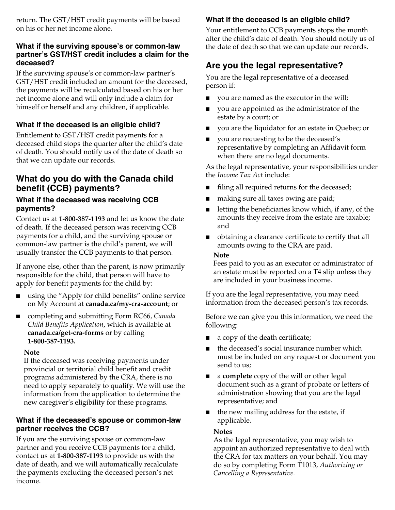return. The GST/HST credit payments will be based on his or her net income alone.

#### **What if the surviving spouse's or common-law partner's GST/HST credit includes a claim for the deceased?**

If the surviving spouse's or common-law partner's GST/HST credit included an amount for the deceased, the payments will be recalculated based on his or her net income alone and will only include a claim for himself or herself and any children, if applicable.

## **What if the deceased is an eligible child?**

Entitlement to GST/HST credit payments for a deceased child stops the quarter after the child's date of death. You should notify us of the date of death so that we can update our records.

## **What do you do with the Canada child benefit (CCB) payments?**

### **What if the deceased was receiving CCB payments?**

Contact us at **1-800-387-1193** and let us know the date of death. If the deceased person was receiving CCB payments for a child, and the surviving spouse or common-law partner is the child's parent, we will usually transfer the CCB payments to that person.

If anyone else, other than the parent, is now primarily responsible for the child, that person will have to apply for benefit payments for the child by:

- using the "Apply for child benefits" online service on My Account at **canada.ca/my-cra-account**; or
- completing and submitting Form RC66, *Canada Child Benefits Application*, which is available at **canada.ca/get-cra-forms** or by calling **1-800-387-1193.**

#### **Note**

If the deceased was receiving payments under provincial or territorial child benefit and credit programs administered by the CRA, there is no need to apply separately to qualify. We will use the information from the application to determine the new caregiver's eligibility for these programs.

### **What if the deceased's spouse or common-law partner receives the CCB?**

If you are the surviving spouse or common-law partner and you receive CCB payments for a child, contact us at **1-800-387-1193** to provide us with the date of death, and we will automatically recalculate the payments excluding the deceased person's net income.

## **What if the deceased is an eligible child?**

Your entitlement to CCB payments stops the month after the child's date of death. You should notify us of the date of death so that we can update our records.

# **Are you the legal representative?**

You are the legal representative of a deceased person if:

- you are named as the executor in the will;
- you are appointed as the administrator of the estate by a court; or
- you are the liquidator for an estate in Quebec; or
- you are requesting to be the deceased's representative by completing an Affidavit form when there are no legal documents.

As the legal representative, your responsibilities under the *Income Tax Act* include:

- filing all required returns for the deceased;
- making sure all taxes owing are paid;
- letting the beneficiaries know which, if any, of the amounts they receive from the estate are taxable; and
- obtaining a clearance certificate to certify that all amounts owing to the CRA are paid.

#### **Note**

Fees paid to you as an executor or administrator of an estate must be reported on a T4 slip unless they are included in your business income.

If you are the legal representative, you may need information from the deceased person's tax records.

Before we can give you this information, we need the following:

- a copy of the death certificate;
- the deceased's social insurance number which must be included on any request or document you send to us;
- a **complete** copy of the will or other legal document such as a grant of probate or letters of administration showing that you are the legal representative; and
- the new mailing address for the estate, if applicable.

#### **Notes**

As the legal representative, you may wish to appoint an authorized representative to deal with the CRA for tax matters on your behalf. You may do so by completing Form T1013, *Authorizing or Cancelling a Representative*.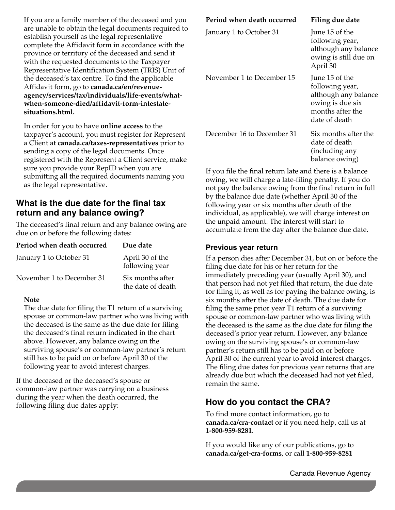If you are a family member of the deceased and you are unable to obtain the legal documents required to establish yourself as the legal representative complete the Affidavit form in accordance with the province or territory of the deceased and send it with the requested documents to the Taxpayer Representative Identification System (TRIS) Unit of the deceased's tax centre. To find the applicable Affidavit form, go to **canada.ca/en/revenueagency/services/tax/individuals/life-events/whatwhen-someone-died/affidavit-form-intestatesituations.html.**

In order for you to have **online access** to the taxpayer's account, you must register for Represent a Client at **canada.ca/taxes-representatives** prior to sending a copy of the legal documents. Once registered with the Represent a Client service, make sure you provide your RepID when you are submitting all the required documents naming you as the legal representative.

## **What is the due date for the final tax return and any balance owing?**

The deceased's final return and any balance owing are due on or before the following dates:

| Period when death occurred | Due date                              |
|----------------------------|---------------------------------------|
| January 1 to October 31    | April 30 of the<br>following year     |
| November 1 to December 31  | Six months after<br>the date of death |

#### **Note**

The due date for filing the T1 return of a surviving spouse or common-law partner who was living with the deceased is the same as the due date for filing the deceased's final return indicated in the chart above. However, any balance owing on the surviving spouse's or common-law partner's return still has to be paid on or before April 30 of the following year to avoid interest charges.

If the deceased or the deceased's spouse or common-law partner was carrying on a business during the year when the death occurred, the following filing due dates apply:

| Period when death occurred | Filing due date                                                                                                    |
|----------------------------|--------------------------------------------------------------------------------------------------------------------|
| January 1 to October 31    | June 15 of the<br>following year,<br>although any balance<br>owing is still due on<br>April 30                     |
| November 1 to December 15  | June 15 of the<br>following year,<br>although any balance<br>owing is due six<br>months after the<br>date of death |
| December 16 to December 31 | Six months after the<br>date of death<br>(including any<br>balance owing)                                          |

If you file the final return late and there is a balance owing, we will charge a late-filing penalty. If you do not pay the balance owing from the final return in full by the balance due date (whether April 30 of the following year or six months after death of the individual, as applicable), we will charge interest on the unpaid amount. The interest will start to accumulate from the day after the balance due date.

### **Previous year return**

If a person dies after December 31, but on or before the filing due date for his or her return for the immediately preceding year (usually April 30), and that person had not yet filed that return, the due date for filing it, as well as for paying the balance owing, is six months after the date of death. The due date for filing the same prior year T1 return of a surviving spouse or common-law partner who was living with the deceased is the same as the due date for filing the deceased's prior year return. However, any balance owing on the surviving spouse's or common-law partner's return still has to be paid on or before April 30 of the current year to avoid interest charges. The filing due dates for previous year returns that are already due but which the deceased had not yet filed, remain the same.

# **How do you contact the CRA?**

To find more contact information, go to **canada.ca/cra-contact** or if you need help, call us at **1-800-959-8281**.

If you would like any of our publications, go to **canada.ca/get-cra-forms**, or call **1-800-959-8281**